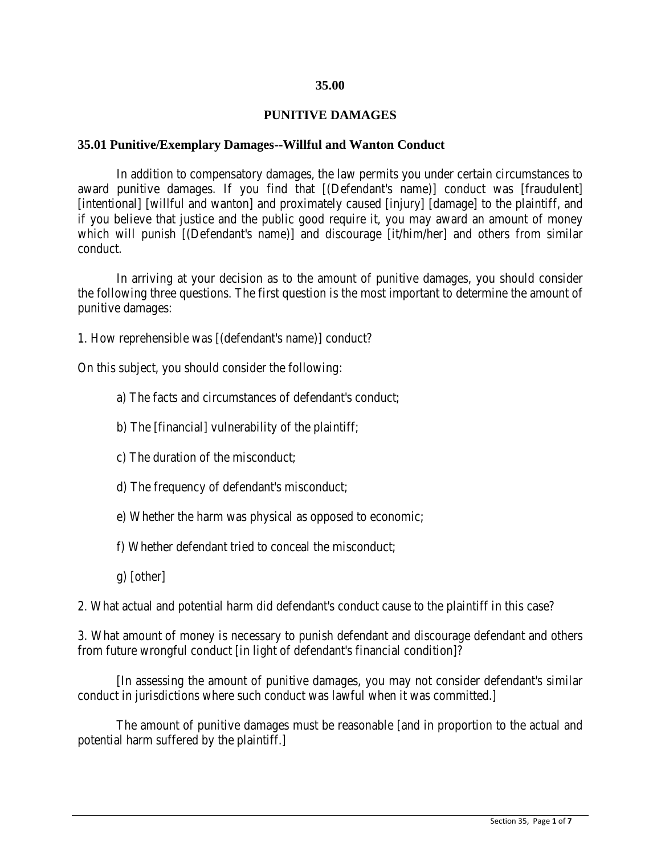### **35.00**

## **PUNITIVE DAMAGES**

### **35.01 Punitive/Exemplary Damages--Willful and Wanton Conduct**

In addition to compensatory damages, the law permits you under certain circumstances to award punitive damages. If you find that [(Defendant's name)] conduct was [fraudulent] [intentional] [willful and wanton] and proximately caused [injury] [damage] to the plaintiff, and if you believe that justice and the public good require it, you may award an amount of money which will punish [(Defendant's name)] and discourage [it/him/her] and others from similar conduct.

In arriving at your decision as to the amount of punitive damages, you should consider the following three questions. The first question is the most important to determine the amount of punitive damages:

1. How reprehensible was [(defendant's name)] conduct?

On this subject, you should consider the following:

- a) The facts and circumstances of defendant's conduct;
- b) The [financial] vulnerability of the plaintiff;
- c) The duration of the misconduct;
- d) The frequency of defendant's misconduct;
- e) Whether the harm was physical as opposed to economic;
- f) Whether defendant tried to conceal the misconduct;
- g) [other]

2. What actual and potential harm did defendant's conduct cause to the plaintiff in this case?

3. What amount of money is necessary to punish defendant and discourage defendant and others from future wrongful conduct [in light of defendant's financial condition]?

[In assessing the amount of punitive damages, you may not consider defendant's similar conduct in jurisdictions where such conduct was lawful when it was committed.]

The amount of punitive damages must be reasonable [and in proportion to the actual and potential harm suffered by the plaintiff.]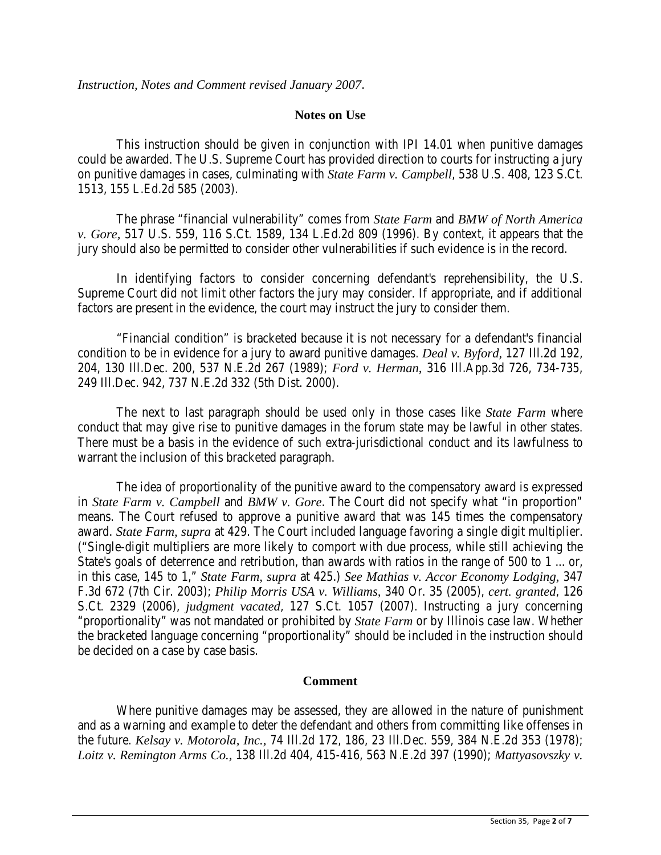### **Notes on Use**

This instruction should be given in conjunction with IPI 14.01 when punitive damages could be awarded. The U.S. Supreme Court has provided direction to courts for instructing a jury on punitive damages in cases, culminating with *State Farm v. Campbell*, 538 U.S. 408, 123 S.Ct. 1513, 155 L.Ed.2d 585 (2003).

The phrase "financial vulnerability" comes from *State Farm* and *BMW of North America v. Gore,* 517 U.S. 559, 116 S.Ct. 1589, 134 L.Ed.2d 809 (1996). By context, it appears that the jury should also be permitted to consider other vulnerabilities if such evidence is in the record.

In identifying factors to consider concerning defendant's reprehensibility, the U.S. Supreme Court did not limit other factors the jury may consider. If appropriate, and if additional factors are present in the evidence, the court may instruct the jury to consider them.

"Financial condition" is bracketed because it is not necessary for a defendant's financial condition to be in evidence for a jury to award punitive damages. *Deal v. Byford,* 127 Ill.2d 192, 204, 130 Ill.Dec. 200, 537 N.E.2d 267 (1989); *Ford v. Herman,* 316 Ill.App.3d 726, 734-735, 249 Ill.Dec. 942, 737 N.E.2d 332 (5th Dist. 2000).

The next to last paragraph should be used only in those cases like *State Farm* where conduct that may give rise to punitive damages in the forum state may be lawful in other states. There must be a basis in the evidence of such extra-jurisdictional conduct and its lawfulness to warrant the inclusion of this bracketed paragraph.

The idea of proportionality of the punitive award to the compensatory award is expressed in *State Farm v. Campbell* and *BMW v. Gore*. The Court did not specify what "in proportion" means. The Court refused to approve a punitive award that was 145 times the compensatory award. *State Farm, supra* at 429. The Court included language favoring a single digit multiplier. ("Single-digit multipliers are more likely to comport with due process, while still achieving the State's goals of deterrence and retribution, than awards with ratios in the range of 500 to 1 ... or, in this case, 145 to 1," *State Farm, supra* at 425.) *See Mathias v. Accor Economy Lodging,* 347 F.3d 672 (7th Cir. 2003); *Philip Morris USA v. Williams,* 340 Or. 35 (2005), *cert. granted*, 126 S.Ct. 2329 (2006), *judgment vacated*, 127 S.Ct. 1057 (2007). Instructing a jury concerning "proportionality" was not mandated or prohibited by *State Farm* or by Illinois case law. Whether the bracketed language concerning "proportionality" should be included in the instruction should be decided on a case by case basis.

#### **Comment**

Where punitive damages may be assessed, they are allowed in the nature of punishment and as a warning and example to deter the defendant and others from committing like offenses in the future. *Kelsay v. Motorola, Inc.,* 74 Ill.2d 172, 186, 23 Ill.Dec. 559, 384 N.E.2d 353 (1978); *Loitz v. Remington Arms Co.,* 138 Ill.2d 404, 415-416, 563 N.E.2d 397 (1990); *Mattyasovszky v.*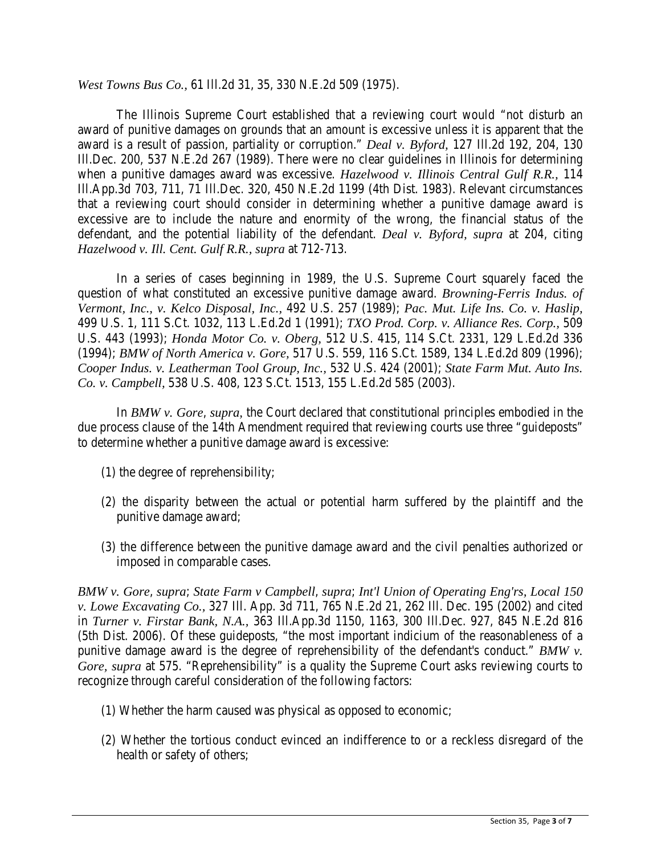*West Towns Bus Co.,* 61 Ill.2d 31, 35, 330 N.E.2d 509 (1975).

The Illinois Supreme Court established that a reviewing court would "not disturb an award of punitive damages on grounds that an amount is excessive unless it is apparent that the award is a result of passion, partiality or corruption." *Deal v. Byford,* 127 Ill.2d 192, 204, 130 Ill.Dec. 200, 537 N.E.2d 267 (1989). There were no clear guidelines in Illinois for determining when a punitive damages award was excessive. *Hazelwood v. Illinois Central Gulf R.R.,* 114 Ill.App.3d 703, 711, 71 Ill.Dec. 320, 450 N.E.2d 1199 (4th Dist. 1983). Relevant circumstances that a reviewing court should consider in determining whether a punitive damage award is excessive are to include the nature and enormity of the wrong, the financial status of the defendant, and the potential liability of the defendant. *Deal v. Byford, supra* at 204, citing *Hazelwood v. Ill. Cent. Gulf R.R., supra* at 712-713.

In a series of cases beginning in 1989, the U.S. Supreme Court squarely faced the question of what constituted an excessive punitive damage award. *Browning-Ferris Indus. of Vermont, Inc., v. Kelco Disposal, Inc.,* 492 U.S. 257 (1989); *Pac. Mut. Life Ins. Co. v. Haslip,* 499 U.S. 1, 111 S.Ct. 1032, 113 L.Ed.2d 1 (1991); *TXO Prod. Corp. v. Alliance Res. Corp.,* 509 U.S. 443 (1993); *Honda Motor Co. v. Oberg,* 512 U.S. 415, 114 S.Ct. 2331, 129 L.Ed.2d 336 (1994); *BMW of North America v. Gore,* 517 U.S. 559, 116 S.Ct. 1589, 134 L.Ed.2d 809 (1996); *Cooper Indus. v. Leatherman Tool Group, Inc.,* 532 U.S. 424 (2001); *State Farm Mut. Auto Ins. Co. v. Campbell,* 538 U.S. 408, 123 S.Ct. 1513, 155 L.Ed.2d 585 (2003).

In *BMW v. Gore*, *supra,* the Court declared that constitutional principles embodied in the due process clause of the 14th Amendment required that reviewing courts use three "guideposts" to determine whether a punitive damage award is excessive:

- (1) the degree of reprehensibility;
- (2) the disparity between the actual or potential harm suffered by the plaintiff and the punitive damage award;
- (3) the difference between the punitive damage award and the civil penalties authorized or imposed in comparable cases.

*BMW v. Gore*, *supra*; *State Farm v Campbell*, *supra*; *Int'l Union of Operating Eng'rs, Local 150 v. Lowe Excavating Co.,* 327 Ill. App. 3d 711, 765 N.E.2d 21, 262 Ill. Dec. 195 (2002) and cited in *Turner v. Firstar Bank, N.A.,* 363 Ill.App.3d 1150, 1163, 300 Ill.Dec. 927, 845 N.E.2d 816 (5th Dist. 2006). Of these guideposts, "the most important indicium of the reasonableness of a punitive damage award is the degree of reprehensibility of the defendant's conduct." *BMW v. Gore, supra* at 575. "Reprehensibility" is a quality the Supreme Court asks reviewing courts to recognize through careful consideration of the following factors:

- (1) Whether the harm caused was physical as opposed to economic;
- (2) Whether the tortious conduct evinced an indifference to or a reckless disregard of the health or safety of others;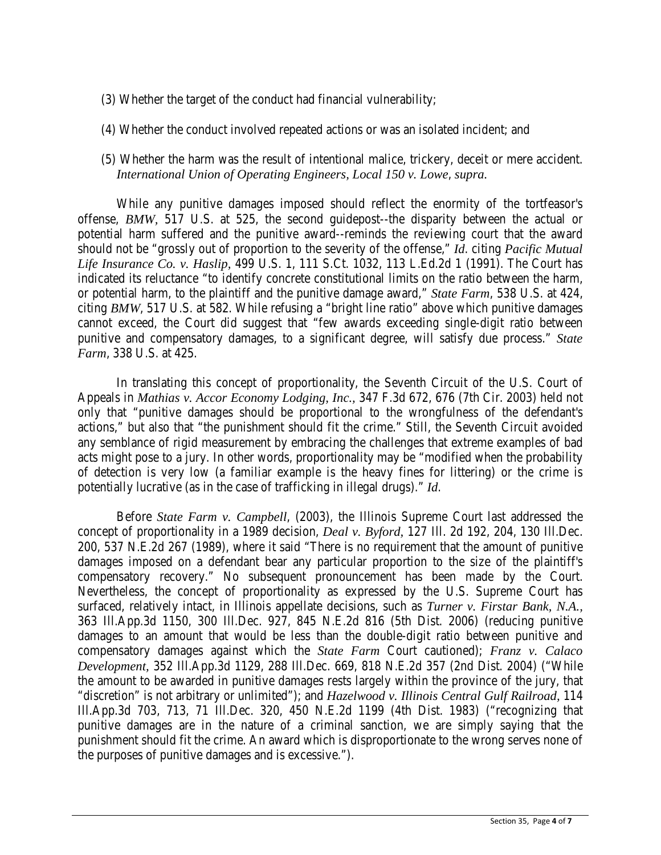- (3) Whether the target of the conduct had financial vulnerability;
- (4) Whether the conduct involved repeated actions or was an isolated incident; and
- (5) Whether the harm was the result of intentional malice, trickery, deceit or mere accident. *International Union of Operating Engineers, Local 150 v. Lowe*, *supra.*

While any punitive damages imposed should reflect the enormity of the tortfeasor's offense, *BMW,* 517 U.S. at 525, the second guidepost--the disparity between the actual or potential harm suffered and the punitive award--reminds the reviewing court that the award should not be "grossly out of proportion to the severity of the offense," *Id*. citing *Pacific Mutual Life Insurance Co. v. Haslip,* 499 U.S. 1, 111 S.Ct. 1032, 113 L.Ed.2d 1 (1991). The Court has indicated its reluctance "to identify concrete constitutional limits on the ratio between the harm, or potential harm, to the plaintiff and the punitive damage award," *State Farm*, 538 U.S. at 424, citing *BMW*, 517 U.S. at 582. While refusing a "bright line ratio" above which punitive damages cannot exceed, the Court did suggest that "few awards exceeding single-digit ratio between punitive and compensatory damages, to a significant degree, will satisfy due process." *State Farm*, 338 U.S. at 425.

In translating this concept of proportionality, the Seventh Circuit of the U.S. Court of Appeals in *Mathias v. Accor Economy Lodging, Inc.,* 347 F.3d 672, 676 (7th Cir. 2003) held not only that "punitive damages should be proportional to the wrongfulness of the defendant's actions," but also that "the punishment should fit the crime." Still, the Seventh Circuit avoided any semblance of rigid measurement by embracing the challenges that extreme examples of bad acts might pose to a jury. In other words, proportionality may be "modified when the probability of detection is very low (a familiar example is the heavy fines for littering) or the crime is potentially lucrative (as in the case of trafficking in illegal drugs)." *Id*.

Before *State Farm v. Campbell*, (2003), the Illinois Supreme Court last addressed the concept of proportionality in a 1989 decision, *Deal v. Byford,* 127 Ill. 2d 192, 204, 130 Ill.Dec. 200, 537 N.E.2d 267 (1989), where it said "There is no requirement that the amount of punitive damages imposed on a defendant bear any particular proportion to the size of the plaintiff's compensatory recovery." No subsequent pronouncement has been made by the Court. Nevertheless, the concept of proportionality as expressed by the U.S. Supreme Court has surfaced, relatively intact, in Illinois appellate decisions, such as *Turner v. Firstar Bank, N.A.,* 363 Ill.App.3d 1150, 300 Ill.Dec. 927, 845 N.E.2d 816 (5th Dist. 2006) (reducing punitive damages to an amount that would be less than the double-digit ratio between punitive and compensatory damages against which the *State Farm* Court cautioned); *Franz v. Calaco Development,* 352 Ill.App.3d 1129, 288 Ill.Dec. 669, 818 N.E.2d 357 (2nd Dist. 2004) ("While the amount to be awarded in punitive damages rests largely within the province of the jury, that "discretion" is not arbitrary or unlimited"); and *Hazelwood v. Illinois Central Gulf Railroad,* 114 Ill.App.3d 703, 713, 71 Ill.Dec. 320, 450 N.E.2d 1199 (4th Dist. 1983) ("recognizing that punitive damages are in the nature of a criminal sanction, we are simply saying that the punishment should fit the crime. An award which is disproportionate to the wrong serves none of the purposes of punitive damages and is excessive.").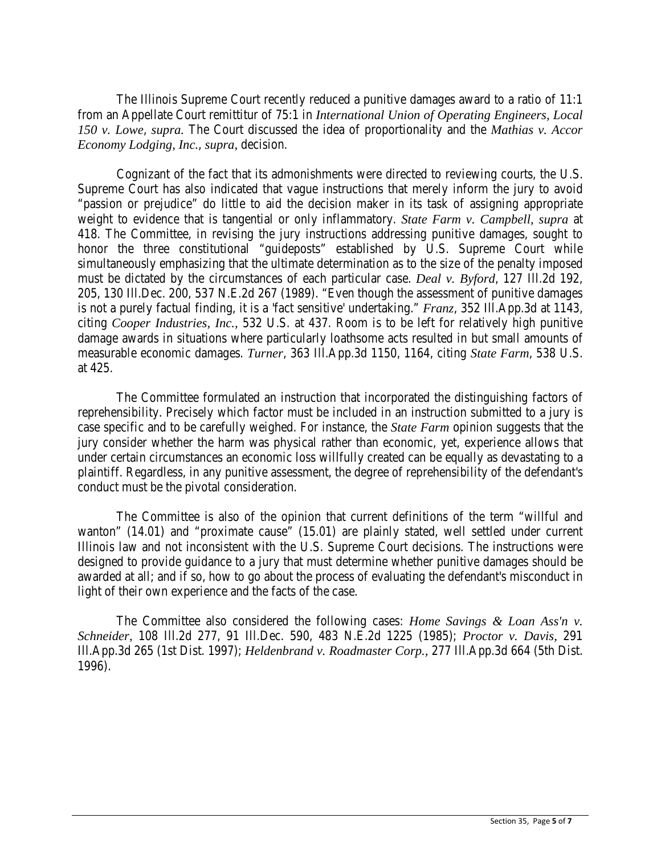The Illinois Supreme Court recently reduced a punitive damages award to a ratio of 11:1 from an Appellate Court remittitur of 75:1 in *International Union of Operating Engineers, Local 150 v. Lowe*, *supra.* The Court discussed the idea of proportionality and the *Mathias v. Accor Economy Lodging, Inc.*, *supra,* decision.

Cognizant of the fact that its admonishments were directed to reviewing courts, the U.S. Supreme Court has also indicated that vague instructions that merely inform the jury to avoid "passion or prejudice" do little to aid the decision maker in its task of assigning appropriate weight to evidence that is tangential or only inflammatory. *State Farm v. Campbell, supra* at 418. The Committee, in revising the jury instructions addressing punitive damages, sought to honor the three constitutional "guideposts" established by U.S. Supreme Court while simultaneously emphasizing that the ultimate determination as to the size of the penalty imposed must be dictated by the circumstances of each particular case. *Deal v. Byford*, 127 Ill.2d 192, 205, 130 Ill.Dec. 200, 537 N.E.2d 267 (1989). "Even though the assessment of punitive damages is not a purely factual finding, it is a 'fact sensitive' undertaking." *Franz*, 352 Ill.App.3d at 1143, citing *Cooper Industries, Inc.,* 532 U.S. at 437. Room is to be left for relatively high punitive damage awards in situations where particularly loathsome acts resulted in but small amounts of measurable economic damages. *Turner*, 363 Ill.App.3d 1150, 1164, citing *State Farm*, 538 U.S. at 425.

The Committee formulated an instruction that incorporated the distinguishing factors of reprehensibility. Precisely which factor must be included in an instruction submitted to a jury is case specific and to be carefully weighed. For instance, the *State Farm* opinion suggests that the jury consider whether the harm was physical rather than economic, yet, experience allows that under certain circumstances an economic loss willfully created can be equally as devastating to a plaintiff. Regardless, in any punitive assessment, the degree of reprehensibility of the defendant's conduct must be the pivotal consideration.

The Committee is also of the opinion that current definitions of the term "willful and wanton" (14.01) and "proximate cause" (15.01) are plainly stated, well settled under current Illinois law and not inconsistent with the U.S. Supreme Court decisions. The instructions were designed to provide guidance to a jury that must determine whether punitive damages should be awarded at all; and if so, how to go about the process of evaluating the defendant's misconduct in light of their own experience and the facts of the case.

The Committee also considered the following cases: *Home Savings & Loan Ass'n v. Schneider,* 108 Ill.2d 277, 91 Ill.Dec. 590, 483 N.E.2d 1225 (1985); *Proctor v. Davis,* 291 Ill.App.3d 265 (1st Dist. 1997); *Heldenbrand v. Roadmaster Corp.,* 277 Ill.App.3d 664 (5th Dist. 1996).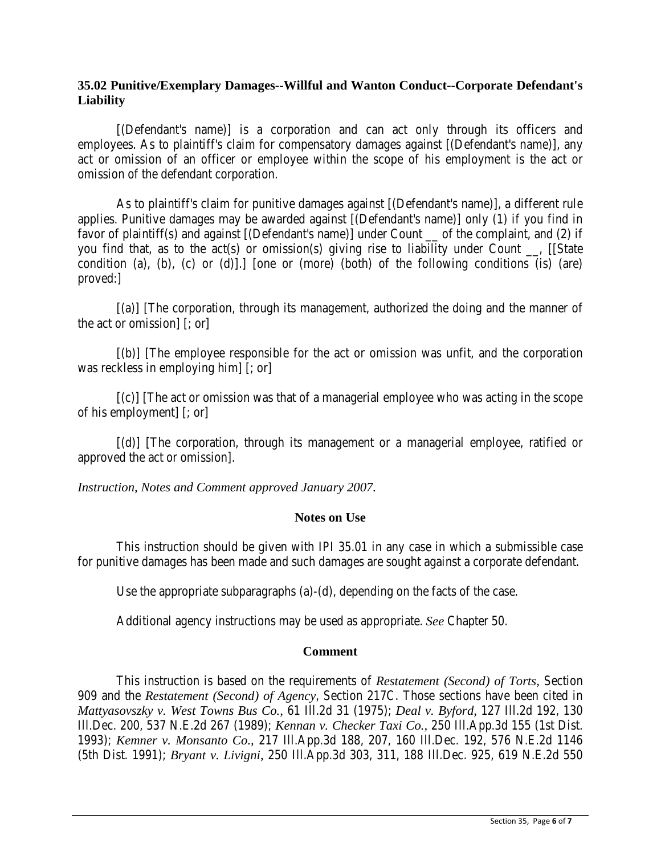# **35.02 Punitive/Exemplary Damages--Willful and Wanton Conduct--Corporate Defendant's Liability**

[(Defendant's name)] is a corporation and can act only through its officers and employees. As to plaintiff's claim for compensatory damages against [(Defendant's name)], any act or omission of an officer or employee within the scope of his employment is the act or omission of the defendant corporation.

As to plaintiff's claim for punitive damages against [(Defendant's name)], a different rule applies. Punitive damages may be awarded against [(Defendant's name)] only (1) if you find in favor of plaintiff(s) and against [(Defendant's name)] under Count of the complaint, and (2) if you find that, as to the act(s) or omission(s) giving rise to liability under Count \_\_, [[State condition (a), (b), (c) or (d)].] [one or (more) (both) of the following conditions (is) (are) proved:]

[(a)] [The corporation, through its management, authorized the doing and the manner of the act or omission] [; or]

[(b)] [The employee responsible for the act or omission was unfit, and the corporation was reckless in employing him] [; or]

 $[(c)]$  [The act or omission was that of a managerial employee who was acting in the scope of his employment] [; or]

[(d)] [The corporation, through its management or a managerial employee, ratified or approved the act or omission].

*Instruction, Notes and Comment approved January 2007.*

# **Notes on Use**

This instruction should be given with IPI 35.01 in any case in which a submissible case for punitive damages has been made and such damages are sought against a corporate defendant.

Use the appropriate subparagraphs (a)-(d), depending on the facts of the case.

Additional agency instructions may be used as appropriate. *See* Chapter 50.

#### **Comment**

This instruction is based on the requirements of *Restatement (Second) of Torts,* Section 909 and the *Restatement (Second) of Agency*, Section 217C. Those sections have been cited in *Mattyasovszky v. West Towns Bus Co.,* 61 Ill.2d 31 (1975); *Deal v. Byford,* 127 Ill.2d 192, 130 Ill.Dec. 200, 537 N.E.2d 267 (1989); *Kennan v. Checker Taxi Co.,* 250 Ill.App.3d 155 (1st Dist. 1993); *Kemner v. Monsanto Co.,* 217 Ill.App.3d 188, 207, 160 Ill.Dec. 192, 576 N.E.2d 1146 (5th Dist. 1991); *Bryant v. Livigni,* 250 Ill.App.3d 303, 311, 188 Ill.Dec. 925, 619 N.E.2d 550